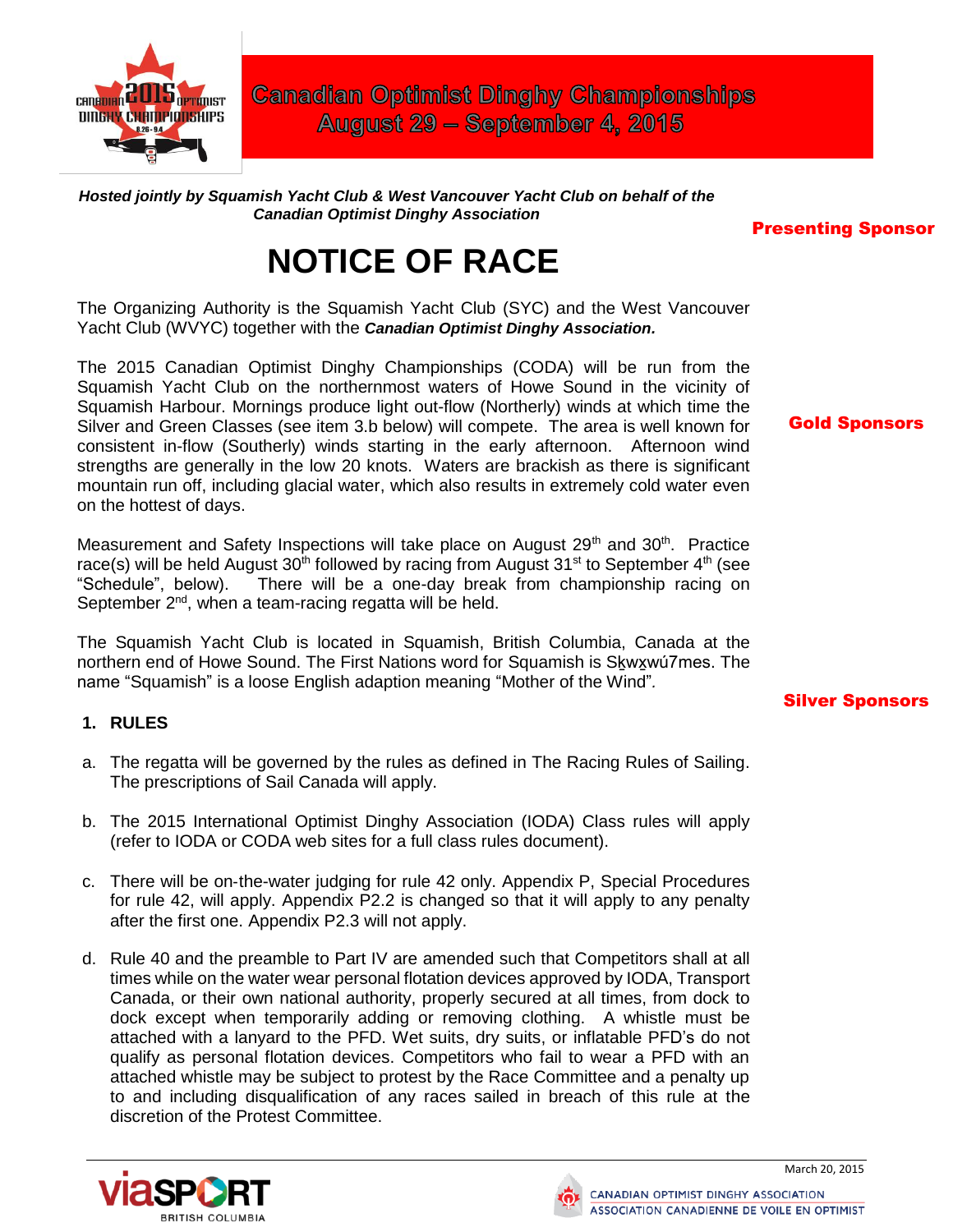

**Canadian Optimist Dinghy Championships** August 29 - September 4, 2015

*Hosted jointly by Squamish Yacht Club & West Vancouver Yacht Club on behalf of the Canadian Optimist Dinghy Association*

#### Presenting Sponsor

Gold Sponsors

# **NOTICE OF RACE**

The Organizing Authority is the Squamish Yacht Club (SYC) and the West Vancouver Yacht Club (WVYC) together with the *Canadian Optimist Dinghy Association.*

The 2015 Canadian Optimist Dinghy Championships (CODA) will be run from the Squamish Yacht Club on the northernmost waters of Howe Sound in the vicinity of Squamish Harbour. Mornings produce light out-flow (Northerly) winds at which time the Silver and Green Classes (see item 3.b below) will compete. The area is well known for consistent in-flow (Southerly) winds starting in the early afternoon. Afternoon wind strengths are generally in the low 20 knots. Waters are brackish as there is significant mountain run off, including glacial water, which also results in extremely cold water even on the hottest of days.

Measurement and Safety Inspections will take place on August 29<sup>th</sup> and 30<sup>th</sup>. Practice race(s) will be held August  $30<sup>th</sup>$  followed by racing from August  $31<sup>st</sup>$  to September  $4<sup>th</sup>$  (see "Schedule", below). There will be a one-day break from championship racing on September 2<sup>nd</sup>, when a team-racing regatta will be held.

The Squamish Yacht Club is located in Squamish, British Columbia, Canada at the northern end of Howe Sound. The First Nations word for Squamish is Skwxwú7mes. The name "Squamish" is a loose English adaption meaning "Mother of the Wind"*.*

#### Silver Sponsors

#### **1. RULES**

- a. The regatta will be governed by the rules as defined in The Racing Rules of Sailing. The prescriptions of Sail Canada will apply.
- b. The 2015 International Optimist Dinghy Association (IODA) Class rules will apply (refer to IODA or CODA web sites for a full class rules document).
- c. There will be on‐the-water judging for rule 42 only. Appendix P, Special Procedures for rule 42, will apply. Appendix P2.2 is changed so that it will apply to any penalty after the first one. Appendix P2.3 will not apply.
- d. Rule 40 and the preamble to Part IV are amended such that Competitors shall at all times while on the water wear personal flotation devices approved by IODA, Transport Canada, or their own national authority, properly secured at all times, from dock to dock except when temporarily adding or removing clothing. A whistle must be attached with a lanyard to the PFD. Wet suits, dry suits, or inflatable PFD's do not qualify as personal flotation devices. Competitors who fail to wear a PFD with an attached whistle may be subject to protest by the Race Committee and a penalty up to and including disqualification of any races sailed in breach of this rule at the discretion of the Protest Committee.



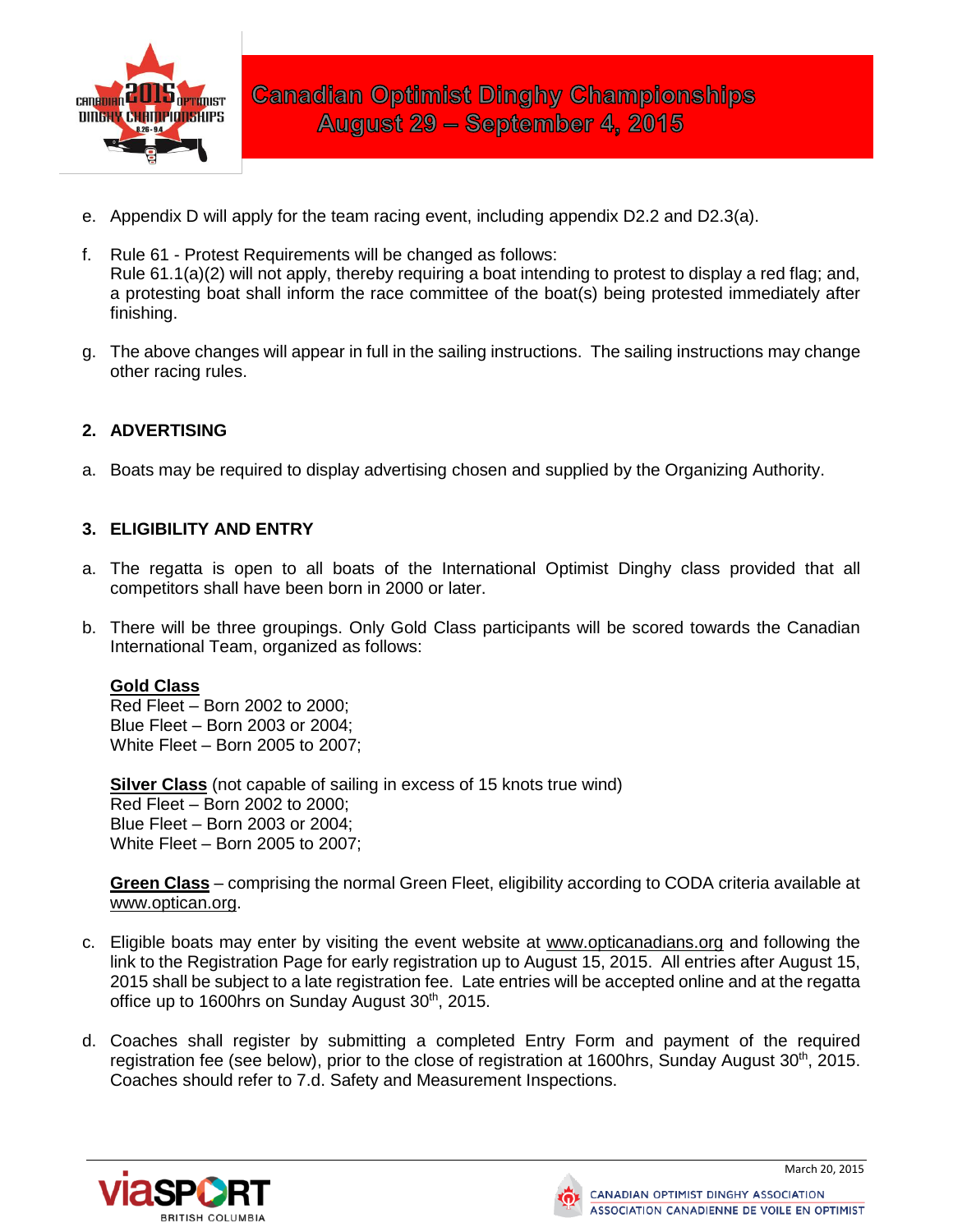

- e. Appendix D will apply for the team racing event, including appendix D2.2 and D2.3(a).
- f. Rule 61 Protest Requirements will be changed as follows: Rule 61.1(a)(2) will not apply, thereby requiring a boat intending to protest to display a red flag; and, a protesting boat shall inform the race committee of the boat(s) being protested immediately after finishing.
- g. The above changes will appear in full in the sailing instructions. The sailing instructions may change other racing rules.

# **2. ADVERTISING**

a. Boats may be required to display advertising chosen and supplied by the Organizing Authority.

### **3. ELIGIBILITY AND ENTRY**

- a. The regatta is open to all boats of the International Optimist Dinghy class provided that all competitors shall have been born in 2000 or later.
- b. There will be three groupings. Only Gold Class participants will be scored towards the Canadian International Team, organized as follows:

#### **Gold Class**

Red Fleet – Born 2002 to 2000; Blue Fleet – Born 2003 or 2004; White Fleet – Born 2005 to 2007;

**Silver Class** (not capable of sailing in excess of 15 knots true wind) Red Fleet – Born 2002 to 2000; Blue Fleet – Born 2003 or 2004; White Fleet – Born 2005 to 2007;

**Green Class** – comprising the normal Green Fleet, eligibility according to CODA criteria available at [www.optican.org.](http://www.optican.org/)

- c. Eligible boats may enter by visiting the event website at [www.opticanadians.org](http://www.tbd/) and following the link to the Registration Page for early registration up to August 15, 2015. All entries after August 15, 2015 shall be subject to a late registration fee. Late entries will be accepted online and at the regatta office up to 1600hrs on Sunday August 30<sup>th</sup>, 2015.
- d. Coaches shall register by submitting a completed Entry Form and payment of the required registration fee (see below), prior to the close of registration at 1600hrs, Sunday August 30<sup>th</sup>, 2015. Coaches should refer to 7.d. Safety and Measurement Inspections.



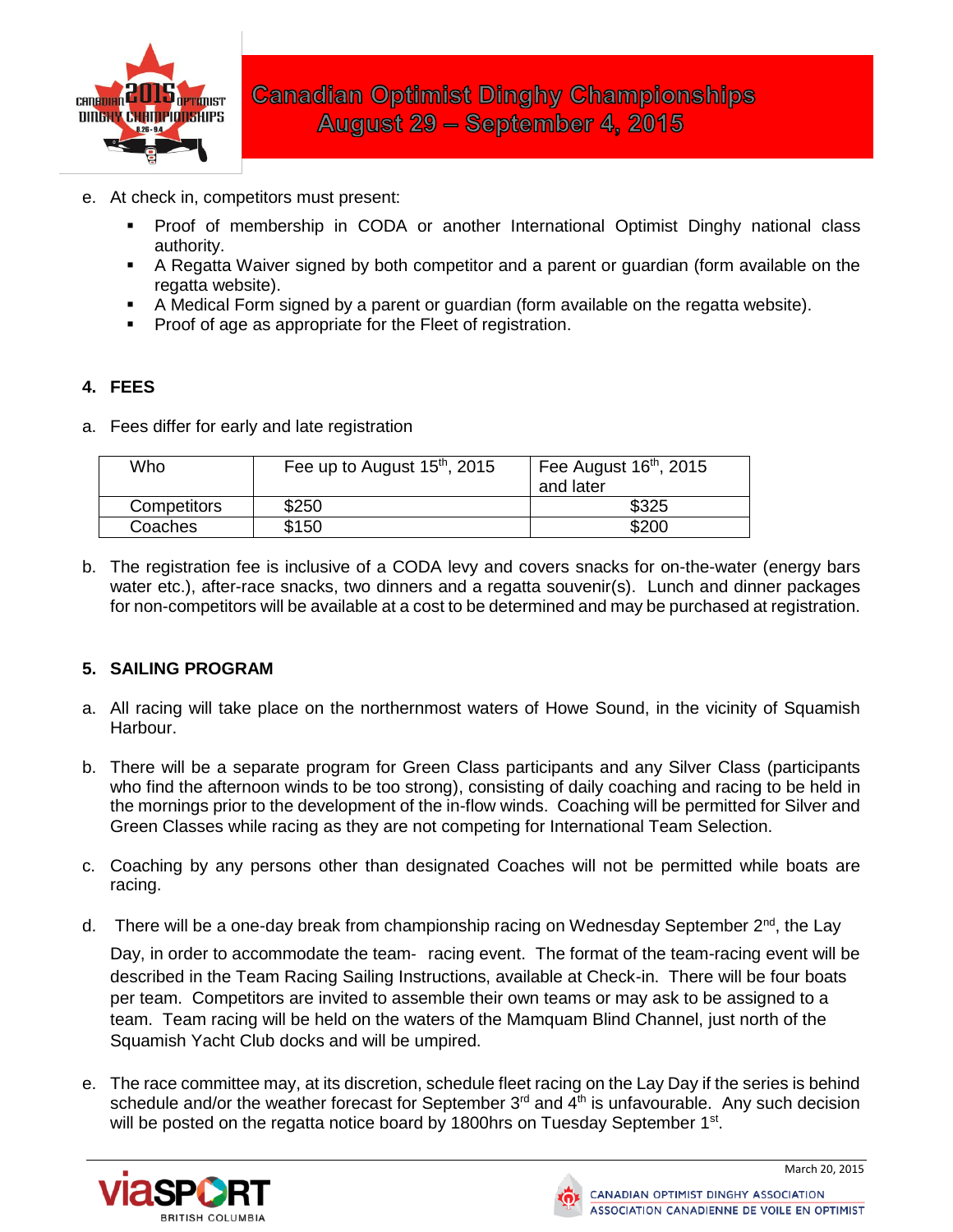

- e. At check in, competitors must present:
	- Proof of membership in CODA or another International Optimist Dinghy national class authority.
	- A Regatta Waiver signed by both competitor and a parent or guardian (form available on the regatta website).
	- A Medical Form signed by a parent or guardian (form available on the regatta website).
	- Proof of age as appropriate for the Fleet of registration.

# **4. FEES**

a. Fees differ for early and late registration

| Who         | Fee up to August $15th$ , 2015 | Fee August $16th$ , 2015<br>and later |
|-------------|--------------------------------|---------------------------------------|
| Competitors | \$250                          | \$325                                 |
| Coaches     | \$150                          | \$200                                 |

b. The registration fee is inclusive of a CODA levy and covers snacks for on-the-water (energy bars water etc.), after-race snacks, two dinners and a regatta souvenir(s). Lunch and dinner packages for non-competitors will be available at a cost to be determined and may be purchased at registration.

# **5. SAILING PROGRAM**

- a. All racing will take place on the northernmost waters of Howe Sound, in the vicinity of Squamish Harbour.
- b. There will be a separate program for Green Class participants and any Silver Class (participants who find the afternoon winds to be too strong), consisting of daily coaching and racing to be held in the mornings prior to the development of the in-flow winds. Coaching will be permitted for Silver and Green Classes while racing as they are not competing for International Team Selection.
- c. Coaching by any persons other than designated Coaches will not be permitted while boats are racing.
- d. There will be a one-day break from championship racing on Wednesday September 2<sup>nd</sup>, the Lay

Day, in order to accommodate the team- racing event. The format of the team-racing event will be described in the Team Racing Sailing Instructions, available at Check-in. There will be four boats per team. Competitors are invited to assemble their own teams or may ask to be assigned to a team. Team racing will be held on the waters of the Mamquam Blind Channel, just north of the Squamish Yacht Club docks and will be umpired.

e. The race committee may, at its discretion, schedule fleet racing on the Lay Day if the series is behind schedule and/or the weather forecast for September  $3<sup>rd</sup>$  and  $4<sup>th</sup>$  is unfavourable. Any such decision will be posted on the regatta notice board by 1800hrs on Tuesday September 1<sup>st</sup>.



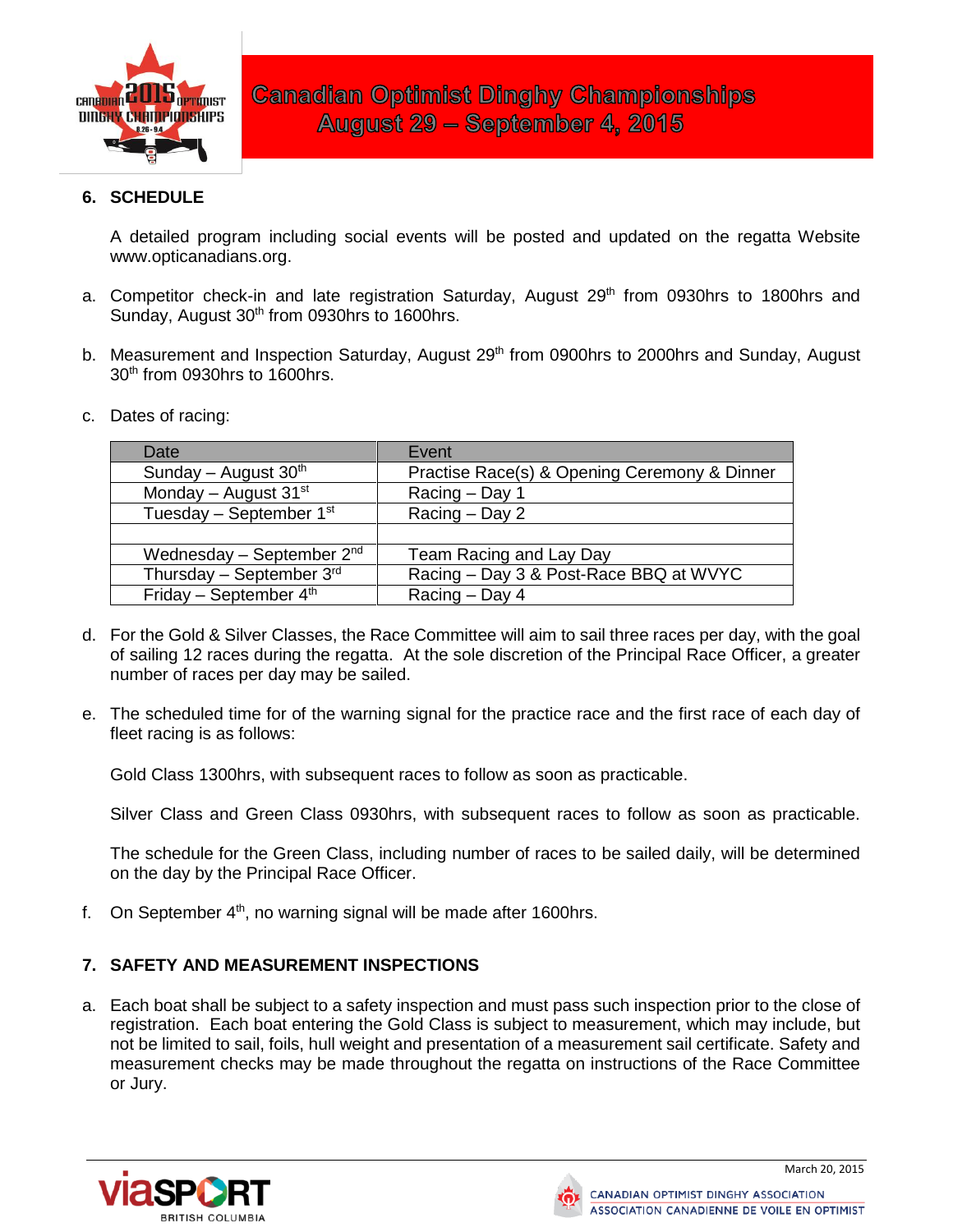

# **6. SCHEDULE**

A detailed program including social events will be posted and updated on the regatta Website www.opticanadians.org.

- a. Competitor check-in and late registration Saturday, August 29<sup>th</sup> from 0930hrs to 1800hrs and Sunday, August 30<sup>th</sup> from 0930hrs to 1600hrs.
- b. Measurement and Inspection Saturday, August 29<sup>th</sup> from 0900hrs to 2000hrs and Sunday, August 30th from 0930hrs to 1600hrs.
- c. Dates of racing:

| Date                        | Event                                        |
|-----------------------------|----------------------------------------------|
| Sunday - August $30th$      | Practise Race(s) & Opening Ceremony & Dinner |
| Monday - August $31st$      | Racing - Day 1                               |
| Tuesday - September $1st$   | Racing – Day 2                               |
|                             |                                              |
| Wednesday – September $2nd$ | Team Racing and Lay Day                      |
| Thursday - September $3rd$  | Racing - Day 3 & Post-Race BBQ at WVYC       |
| Friday - September $4th$    | Racing - Day 4                               |

- d. For the Gold & Silver Classes, the Race Committee will aim to sail three races per day, with the goal of sailing 12 races during the regatta. At the sole discretion of the Principal Race Officer, a greater number of races per day may be sailed.
- e. The scheduled time for of the warning signal for the practice race and the first race of each day of fleet racing is as follows:

Gold Class 1300hrs, with subsequent races to follow as soon as practicable.

Silver Class and Green Class 0930hrs, with subsequent races to follow as soon as practicable.

The schedule for the Green Class, including number of races to be sailed daily, will be determined on the day by the Principal Race Officer.

f. On September  $4<sup>th</sup>$ , no warning signal will be made after 1600hrs.

# **7. SAFETY AND MEASUREMENT INSPECTIONS**

a. Each boat shall be subject to a safety inspection and must pass such inspection prior to the close of registration. Each boat entering the Gold Class is subject to measurement, which may include, but not be limited to sail, foils, hull weight and presentation of a measurement sail certificate. Safety and measurement checks may be made throughout the regatta on instructions of the Race Committee or Jury.



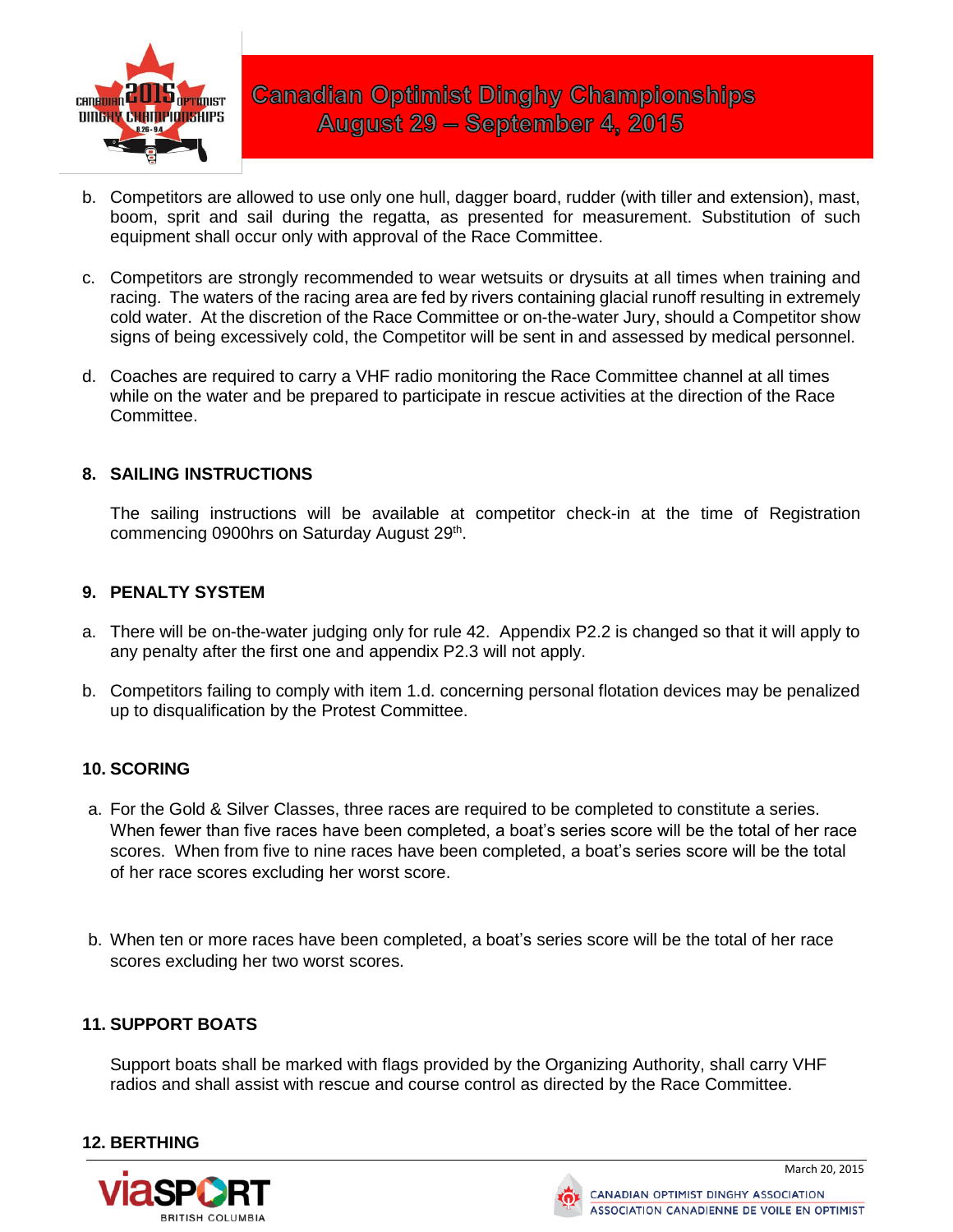

- b. Competitors are allowed to use only one hull, dagger board, rudder (with tiller and extension), mast, boom, sprit and sail during the regatta, as presented for measurement. Substitution of such equipment shall occur only with approval of the Race Committee.
- c. Competitors are strongly recommended to wear wetsuits or drysuits at all times when training and racing. The waters of the racing area are fed by rivers containing glacial runoff resulting in extremely cold water. At the discretion of the Race Committee or on-the-water Jury, should a Competitor show signs of being excessively cold, the Competitor will be sent in and assessed by medical personnel.
- d. Coaches are required to carry a VHF radio monitoring the Race Committee channel at all times while on the water and be prepared to participate in rescue activities at the direction of the Race Committee.

### **8. SAILING INSTRUCTIONS**

The sailing instructions will be available at competitor check-in at the time of Registration commencing 0900hrs on Saturday August 29<sup>th</sup>.

### **9. PENALTY SYSTEM**

- a. There will be on-the-water judging only for rule 42. Appendix P2.2 is changed so that it will apply to any penalty after the first one and appendix P2.3 will not apply.
- b. Competitors failing to comply with item 1.d. concerning personal flotation devices may be penalized up to disqualification by the Protest Committee.

# **10. SCORING**

- a. For the Gold & Silver Classes, three races are required to be completed to constitute a series. When fewer than five races have been completed, a boat's series score will be the total of her race scores. When from five to nine races have been completed, a boat's series score will be the total of her race scores excluding her worst score.
- b. When ten or more races have been completed, a boat's series score will be the total of her race scores excluding her two worst scores.

#### **11. SUPPORT BOATS**

Support boats shall be marked with flags provided by the Organizing Authority, shall carry VHF radios and shall assist with rescue and course control as directed by the Race Committee.

# **12. BERTHING**



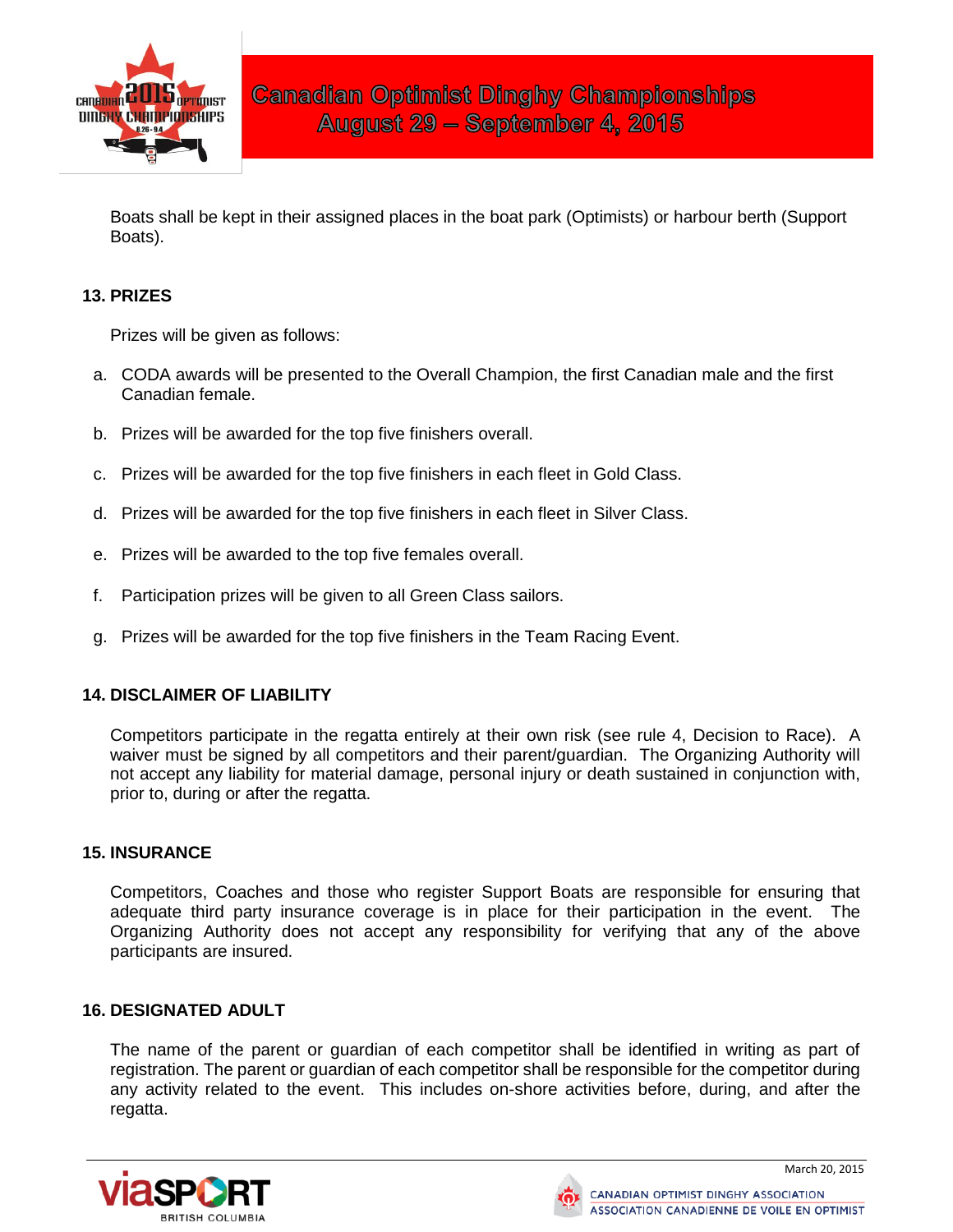

Boats shall be kept in their assigned places in the boat park (Optimists) or harbour berth (Support Boats).

# **13. PRIZES**

Prizes will be given as follows:

- a. CODA awards will be presented to the Overall Champion, the first Canadian male and the first Canadian female.
- b. Prizes will be awarded for the top five finishers overall.
- c. Prizes will be awarded for the top five finishers in each fleet in Gold Class.
- d. Prizes will be awarded for the top five finishers in each fleet in Silver Class.
- e. Prizes will be awarded to the top five females overall.
- f. Participation prizes will be given to all Green Class sailors.
- g. Prizes will be awarded for the top five finishers in the Team Racing Event.

# **14. DISCLAIMER OF LIABILITY**

Competitors participate in the regatta entirely at their own risk (see rule 4, Decision to Race). A waiver must be signed by all competitors and their parent/guardian. The Organizing Authority will not accept any liability for material damage, personal injury or death sustained in conjunction with, prior to, during or after the regatta.

#### **15. INSURANCE**

Competitors, Coaches and those who register Support Boats are responsible for ensuring that adequate third party insurance coverage is in place for their participation in the event. The Organizing Authority does not accept any responsibility for verifying that any of the above participants are insured.

#### **16. DESIGNATED ADULT**

The name of the parent or guardian of each competitor shall be identified in writing as part of registration. The parent or guardian of each competitor shall be responsible for the competitor during any activity related to the event. This includes on-shore activities before, during, and after the regatta.